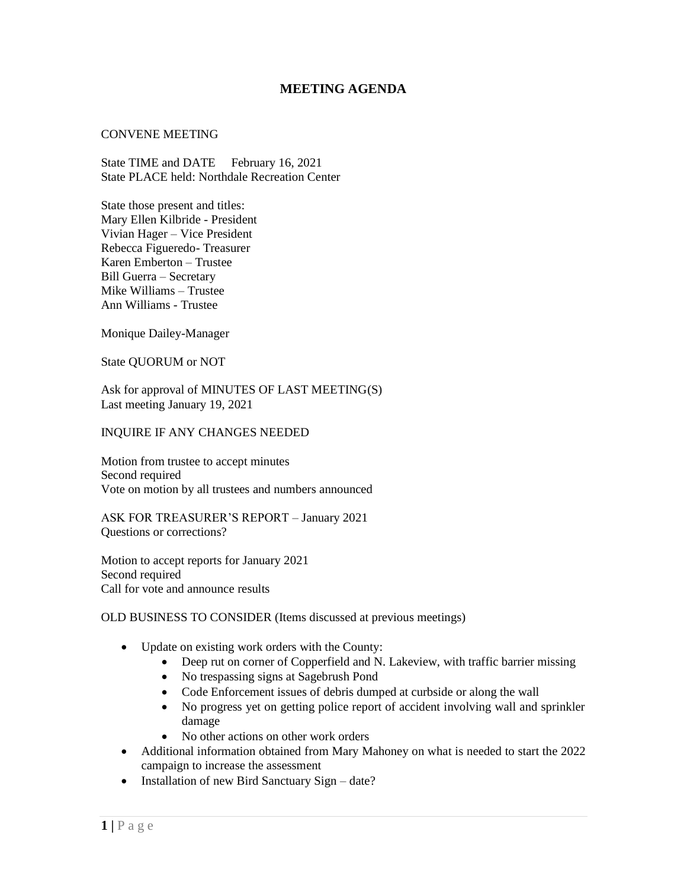# **MEETING AGENDA**

#### CONVENE MEETING

State TIME and DATE February 16, 2021 State PLACE held: Northdale Recreation Center

State those present and titles: Mary Ellen Kilbride - President Vivian Hager – Vice President Rebecca Figueredo- Treasurer Karen Emberton – Trustee Bill Guerra – Secretary Mike Williams – Trustee Ann Williams - Trustee

Monique Dailey-Manager

State QUORUM or NOT

Ask for approval of MINUTES OF LAST MEETING(S) Last meeting January 19, 2021

#### INQUIRE IF ANY CHANGES NEEDED

Motion from trustee to accept minutes Second required Vote on motion by all trustees and numbers announced

ASK FOR TREASURER'S REPORT – January 2021 Questions or corrections?

Motion to accept reports for January 2021 Second required Call for vote and announce results

### OLD BUSINESS TO CONSIDER (Items discussed at previous meetings)

- Update on existing work orders with the County:
	- Deep rut on corner of Copperfield and N. Lakeview, with traffic barrier missing
	- No trespassing signs at Sagebrush Pond
	- Code Enforcement issues of debris dumped at curbside or along the wall
	- No progress yet on getting police report of accident involving wall and sprinkler damage
	- No other actions on other work orders
- Additional information obtained from Mary Mahoney on what is needed to start the 2022 campaign to increase the assessment
- Installation of new Bird Sanctuary Sign date?